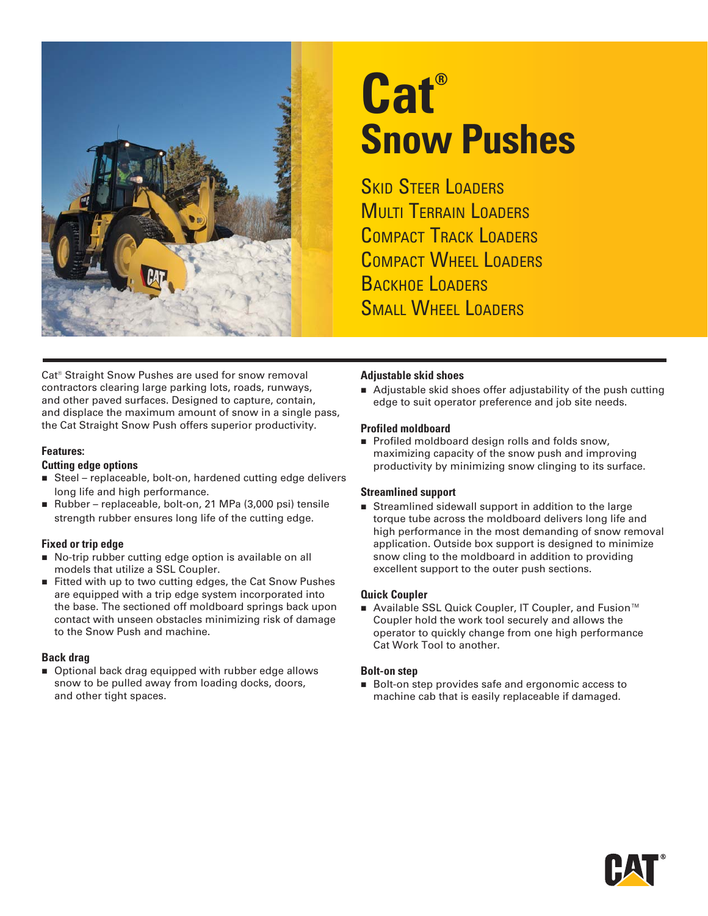

# **Cat® Snow Pushes**

**SKID STEER LOADERS MULTI TERRAIN LOADERS** COMPACT TRACK LOADERS COMPACT WHEEL LOADERS BACKHOF LOADERS SMALL WHEEL LOADERS

Cat® Straight Snow Pushes are used for snow removal contractors clearing large parking lots, roads, runways, and other paved surfaces. Designed to capture, contain, and displace the maximum amount of snow in a single pass, the Cat Straight Snow Push offers superior productivity.

#### **Features:**

#### **Cutting edge options**

- Steel replaceable, bolt-on, hardened cutting edge delivers long life and high performance.
- Rubber replaceable, bolt-on, 21 MPa (3,000 psi) tensile strength rubber ensures long life of the cutting edge.

#### **Fixed or trip edge**

- No-trip rubber cutting edge option is available on all models that utilize a SSL Coupler.
- Fitted with up to two cutting edges, the Cat Snow Pushes are equipped with a trip edge system incorporated into the base. The sectioned off moldboard springs back upon contact with unseen obstacles minimizing risk of damage to the Snow Push and machine.

#### **Back drag**

■ Optional back drag equipped with rubber edge allows snow to be pulled away from loading docks, doors, and other tight spaces.

#### **Adjustable skid shoes**

■ Adjustable skid shoes offer adjustability of the push cutting edge to suit operator preference and job site needs.

#### **Profiled moldboard**

Profiled moldboard design rolls and folds snow, maximizing capacity of the snow push and improving productivity by minimizing snow clinging to its surface.

#### **Streamlined support**

Streamlined sidewall support in addition to the large torque tube across the moldboard delivers long life and high performance in the most demanding of snow removal application. Outside box support is designed to minimize snow cling to the moldboard in addition to providing excellent support to the outer push sections.

#### **Quick Coupler**

■ Available SSL Quick Coupler, IT Coupler, and Fusion<sup>™</sup> Coupler hold the work tool securely and allows the operator to quickly change from one high performance Cat Work Tool to another.

#### **Bolt-on step**

Bolt-on step provides safe and ergonomic access to machine cab that is easily replaceable if damaged.

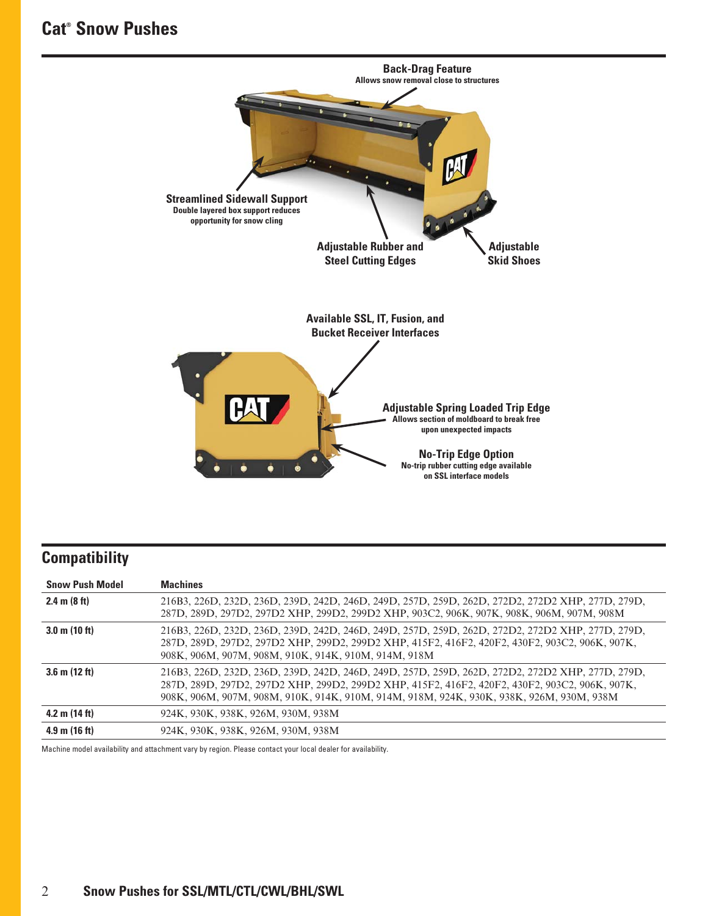## **Cat® Snow Pushes**



# **Compatibility**

| <b>Snow Push Model</b>  | <b>Machines</b>                                                                                                                                                                                                                                                                                |
|-------------------------|------------------------------------------------------------------------------------------------------------------------------------------------------------------------------------------------------------------------------------------------------------------------------------------------|
| 2.4 m $(8 ft)$          | 216B3, 226D, 232D, 236D, 239D, 242D, 246D, 249D, 257D, 259D, 262D, 272D2, 272D2 XHP, 277D, 279D,<br>287D, 289D, 297D2, 297D2 ХНР, 299D2, 299D2 ХНР, 903C2, 906К, 907К, 908К, 906М, 907М, 908М                                                                                                  |
| $3.0 \text{ m}$ (10 ft) | 216B3, 226D, 232D, 236D, 239D, 242D, 246D, 249D, 257D, 259D, 262D, 272D2, 272D2 XHP, 277D, 279D,<br>287D, 289D, 297D2, 297D2 XHP, 299D2, 299D2 XHP, 415F2, 416F2, 420F2, 430F2, 903C2, 906K, 907K,<br>908K, 906M, 907M, 908M, 910K, 914K, 910M, 914M, 918M                                     |
| $3.6$ m $(12 ft)$       | 216B3, 226D, 232D, 236D, 239D, 242D, 246D, 249D, 257D, 259D, 262D, 272D2, 272D2 XHP, 277D, 279D,<br>287D, 289D, 297D2, 297D2 XHP, 299D2, 299D2 XHP, 415F2, 416F2, 420F2, 430F2, 903C2, 906K, 907K,<br>908K, 906M, 907M, 908M, 910K, 914K, 910M, 914M, 918M, 924K, 930K, 938K, 926M, 930M, 938M |
| 4.2 m $(14 ft)$         | 924K, 930K, 938K, 926M, 930M, 938M                                                                                                                                                                                                                                                             |
| $4.9 \text{ m}$ (16 ft) | 924K, 930K, 938K, 926M, 930M, 938M                                                                                                                                                                                                                                                             |

Machine model availability and attachment vary by region. Please contact your local dealer for availability.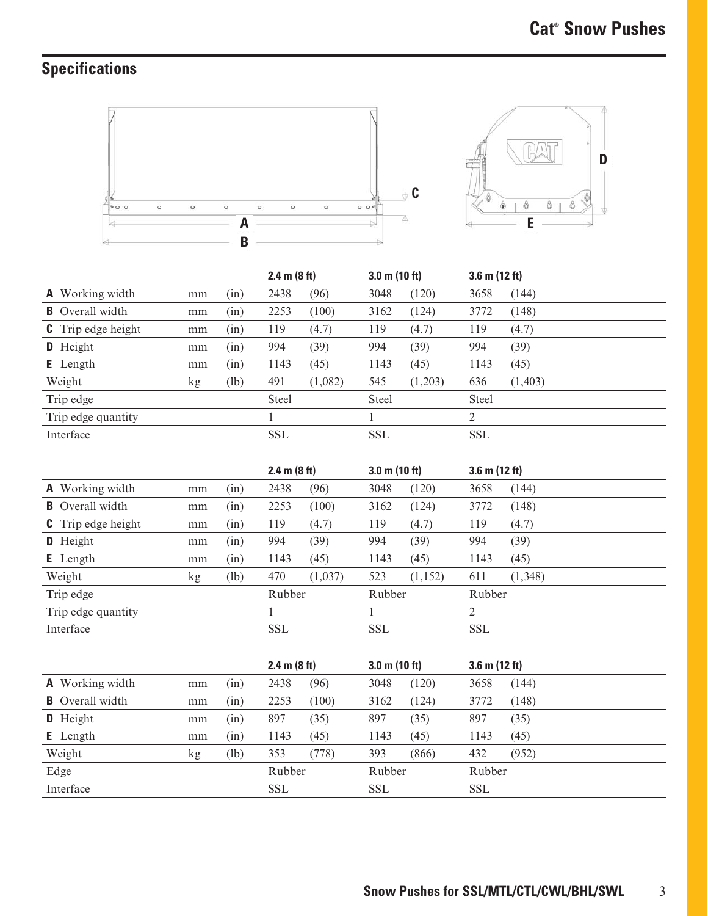# **Specifications**



|                           |    |      | 2.4 m (8 ft) |         | $3.0$ m $(10 ft)$ |         | $3.6$ m $(12 ft)$ |         |
|---------------------------|----|------|--------------|---------|-------------------|---------|-------------------|---------|
| <b>A</b> Working width    | mm | (nn) | 2438         | (96)    | 3048              | (120)   | 3658              | (144)   |
| <b>B</b> Overall width    | mm | (in) | 2253         | (100)   | 3162              | (124)   | 3772              | (148)   |
| <b>C</b> Trip edge height | mm | (n)  | 119          | (4.7)   | 119               | (4.7)   | 119               | (4.7)   |
| D Height                  | mm | (in) | 994          | (39)    | 994               | (39)    | 994               | (39)    |
| <b>E</b> Length           | mm | (in) | 1143         | (45)    | 1143              | (45)    | 1143              | (45)    |
| Weight                    | kg | (lb) | 491          | (1,082) | 545               | (1,203) | 636               | (1,403) |
| Trip edge                 |    |      | <b>Steel</b> |         | <b>Steel</b>      |         | <b>Steel</b>      |         |
| Trip edge quantity        |    |      |              |         |                   |         | 2                 |         |
| Interface                 |    |      | <b>SSL</b>   |         | <b>SSL</b>        |         | <b>SSL</b>        |         |

|                           |    |      | 2.4 m $(8 ft)$ |         | $3.0 \text{ m}$ (10 ft) |          | 3.6 m $(12 ft)$ |         |
|---------------------------|----|------|----------------|---------|-------------------------|----------|-----------------|---------|
| <b>A</b> Working width    | mm | (in) | 2438           | (96)    | 3048                    | (120)    | 3658            | (144)   |
| <b>B</b> Overall width    | mm | (in) | 2253           | (100)   | 3162                    | (124)    | 3772            | (148)   |
| <b>C</b> Trip edge height | mm | (in) | 119            | (4.7)   | 119                     | (4.7)    | 119             | (4.7)   |
| <b>D</b> Height           | mm | (in) | 994            | (39)    | 994                     | (39)     | 994             | (39)    |
| <b>E</b> Length           | mm | (in) | 1143           | (45)    | 1143                    | (45)     | 1143            | (45)    |
| Weight                    | kg | (lb) | 470            | (1,037) | 523                     | (1, 152) | 611             | (1,348) |
| Trip edge                 |    |      | Rubber         |         | Rubber                  |          | Rubber          |         |
| Trip edge quantity        |    |      |                |         |                         |          | 2               |         |
| Interface                 |    |      | <b>SSL</b>     |         | <b>SSL</b>              |          | <b>SSL</b>      |         |

|                        |    |      | 2.4 m (8 ft) |       | $3.0 \text{ m}$ (10 ft) |       | $3.6$ m (12 ft) |       |
|------------------------|----|------|--------------|-------|-------------------------|-------|-----------------|-------|
| <b>A</b> Working width | mm | (nn) | 2438         | (96)  | 3048                    | (120) | 3658            | (144) |
| <b>B</b> Overall width | mm | (in) | 2253         | (100) | 3162                    | (124) | 3772            | (148) |
| D Height               | mm | (nn) | 897          | (35)  | 897                     | (35)  | 897             | (35)  |
| <b>E</b> Length        | mm | (in) | 1143         | (45)  | 1143                    | (45)  | 1143            | (45)  |
| Weight                 | kg | (lb) | 353          | (778) | 393                     | (866) | 432             | (952) |
| Edge                   |    |      | Rubber       |       | Rubber                  |       | Rubber          |       |
| Interface              |    |      | <b>SSL</b>   |       | <b>SSL</b>              |       | <b>SSL</b>      |       |